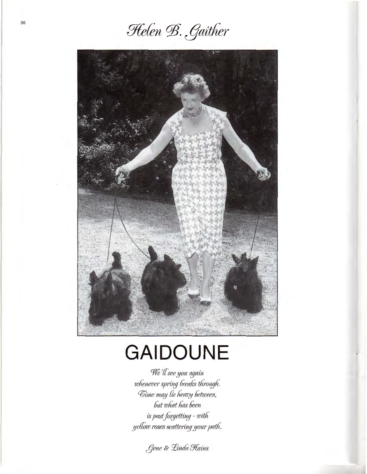Helen B. Gaither



## **GAIDOUNE**

We'll see you again whenever spring breaks through. Time may lie heavy between, but what has been is past forgetting - with yellow roses scattering your path.

Gene & Linda Hains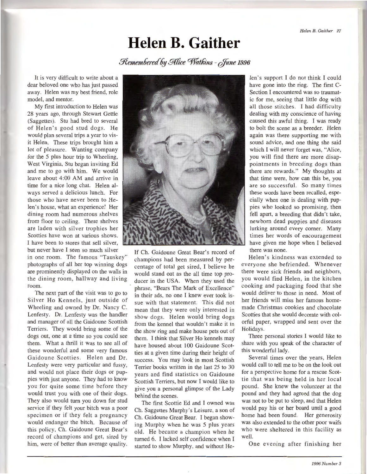## **Helen B. Gaither**

 $R$ emembered by Alice Watkins - June 1996

It is very difficult to write about a dear beloved one who has just passed away. Helen was my best friend, role model, and mentor.

My first introduction to Helen was 28 years ago, through Stewart Gettle (Saggettes). Stu had bred to several of Helen's good stud dogs. He would plan several trips a year to visit Helen. These trips brought him a lot of pleasure. Wanting company for the 5 plus hour trip to Wheeling, West Virginia, Stu began inviting Ed and me to go with him. We would leave about 4:00 AM and arrive in time for a nice long chat. Helen always served a delicious lunch. For those who have never been to Helen's house, what an experience! Her dining room had numerous shelves from floor to ceiling. These shelves are laden with silver trophies her Scotties have won at various shows. I have been to stores that sell silver, but never have I seen so much silver in one room. The famous "Tauskey" photographs of all her top winning dogs are prominently displayed on the walls in the dining room, hallway and living

room.

The next part of the visit was to go to Silver Ho Kennels, just outside of Wheeling and owned by Dr. Nancy C. Lenfesty. Dr. Lenfesty was the handler and manager of all the Gaidoune Scottish Terriers. They would bring some of the dogs out, one at a time so you could see them. What a thrill it was to see all of these wonderful and some very famous Gaidoune Scotties. Helen and Dr. Lenfesty were very particular and fussy, and would not place their dogs or puppies with just anyone. They had to know you for quite some time before they would trust you with one of their dogs. They also would tum you down for stud service if they felt your bitch was a poor specimen or if they felt a pregnancy would endanger the bitch. Because of this policy, Ch. Gaidoune Great Bear's record of champions and get, sired by him, were of better than average quality.



If Ch. Gaidoune Great Bear's record of champions had been measured by percentage of total get sired, I believe he would stand out as the all time top producer in the USA. When they used the phrase, "Bears The Mark of Excellence" in their ads, no one I knew ever took issue with that statement. This did not mean that they were only interested in show dogs. Helen would bring dogs from the kennel that wouldn't make it in the show ring and make house pets out of them. I think that Silver Ho kennels may have housed about 100 Gaidoune Scotties at a given time during their height of success. You may look in most Scottish Terrier books written in the last 25 to 30 years and find statistics on Gaidoune Scottish Terriers, but now I would like to give you a personal glimpse of the Lady behind the scenes.

The first Scottie Ed and I owned was Ch. Saggettes Murphy's Leisure, a son of Ch. Gaidoune Great Bear. I began showing Murphy when he was 5 plus years old. He became a champion when he turned 6. I lacked self confidence when I started to show Murphy, and without He-

len's support I do not think I could have gone into the ring. The first C-Section I encountered was so traumatic for me, seeing that little dog with all those stitches. I had difficulty dealing with my conscience of having caused this awful thing. I was ready to bolt the scene as a breeder. Helen again was there supporting me with sound advice, and one thing she said which I will never forget was, "Alice, you will find there are more disappointments in breeding dogs than there are rewards." My thoughts at that time were, how can this be, you are so successful. So many times these words have been recalled, especially when one is dealing with puppies who looked so promising, then fell apart, a breeding that didn't take, newborn dead puppies and diseases lurking around every corner. Many times her words of encouragement have given me hope when I believed there was none.

Helen's kindness was extended to everyone she befriended. Whenever there were sick friends and neighbors, you would find Helen, in the kitchen cooking and packaging food that she would deliver to those in need. Most of her friends will miss her famous homemade Christmas cookies and chocolate Scotties that she would decorate with colorful paper, wrapped and sent over the Holidays.

Three personal stories I would like to share with you speak of the character of this wonderful lady.

Several times over the years, Helen would call to tell me to be on the look out for a perspective home for a rescue Scottie that was being held in her local pound. She knew the volunteer at the pound and they had agreed that the dog was not to be put to sleep, and that Helen would pay his or her board until a good home had been found. Her generosity was also extended to the other poor waifs who were sheltered in this facility as well.

One evening after finishing her